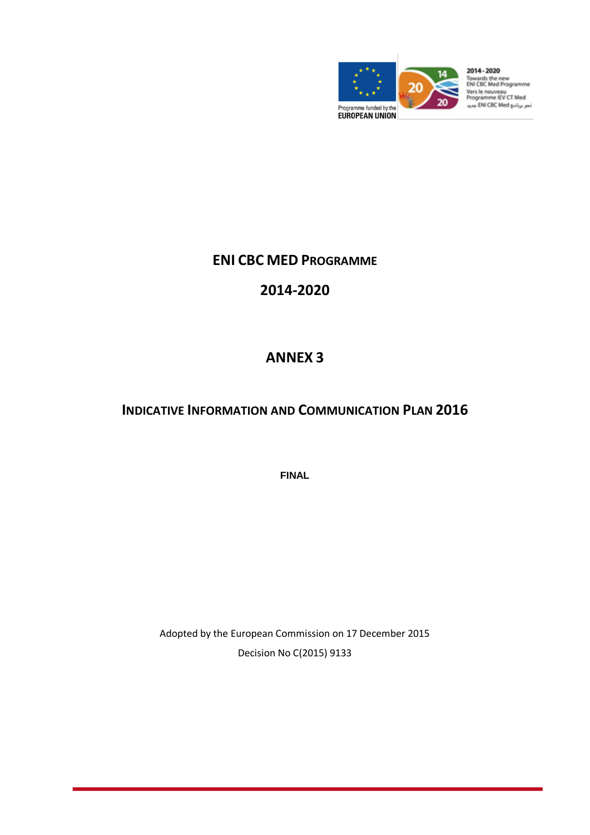

Towards the new<br>ENI CBC Med Programme Vers le nouveau<br>Programme IEV CT Med<br>نمو برنامو ENI CBC Med جدید

## **ENI CBC MED PROGRAMME**

# **2014-2020**

# **ANNEX 3**

## **INDICATIVE INFORMATION AND COMMUNICATION PLAN 2016**

**FINAL**

Adopted by the European Commission on 17 December 2015 Decision No C(2015) 9133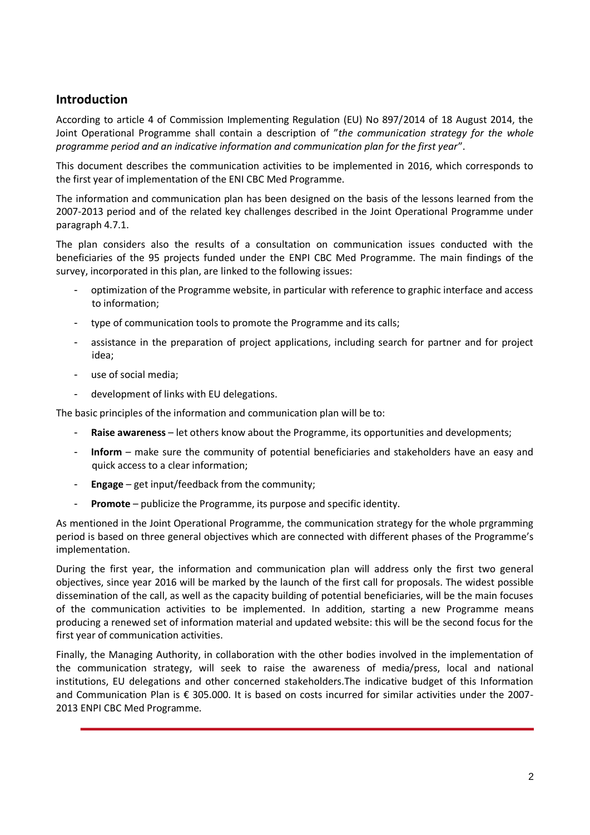## **Introduction**

According to article 4 of Commission Implementing Regulation (EU) No 897/2014 of 18 August 2014, the Joint Operational Programme shall contain a description of "*the communication strategy for the whole programme period and an indicative information and communication plan for the first year*".

This document describes the communication activities to be implemented in 2016, which corresponds to the first year of implementation of the ENI CBC Med Programme.

The information and communication plan has been designed on the basis of the lessons learned from the 2007-2013 period and of the related key challenges described in the Joint Operational Programme under paragraph 4.7.1.

The plan considers also the results of a consultation on communication issues conducted with the beneficiaries of the 95 projects funded under the ENPI CBC Med Programme. The main findings of the survey, incorporated in this plan, are linked to the following issues:

- optimization of the Programme website, in particular with reference to graphic interface and access to information;
- type of communication tools to promote the Programme and its calls;
- assistance in the preparation of project applications, including search for partner and for project idea;
- use of social media;
- development of links with EU delegations.

The basic principles of the information and communication plan will be to:

- Raise awareness let others know about the Programme, its opportunities and developments;
- Inform make sure the community of potential beneficiaries and stakeholders have an easy and quick access to a clear information;
- **Engage** get input/feedback from the community;
- **Promote** publicize the Programme, its purpose and specific identity.

As mentioned in the Joint Operational Programme, the communication strategy for the whole prgramming period is based on three general objectives which are connected with different phases of the Programme's implementation.

During the first year, the information and communication plan will address only the first two general objectives, since year 2016 will be marked by the launch of the first call for proposals. The widest possible dissemination of the call, as well as the capacity building of potential beneficiaries, will be the main focuses of the communication activities to be implemented. In addition, starting a new Programme means producing a renewed set of information material and updated website: this will be the second focus for the first year of communication activities.

Finally, the Managing Authority, in collaboration with the other bodies involved in the implementation of the communication strategy, will seek to raise the awareness of media/press, local and national institutions, EU delegations and other concerned stakeholders.The indicative budget of this Information and Communication Plan is € 305.000. It is based on costs incurred for similar activities under the 2007- 2013 ENPI CBC Med Programme.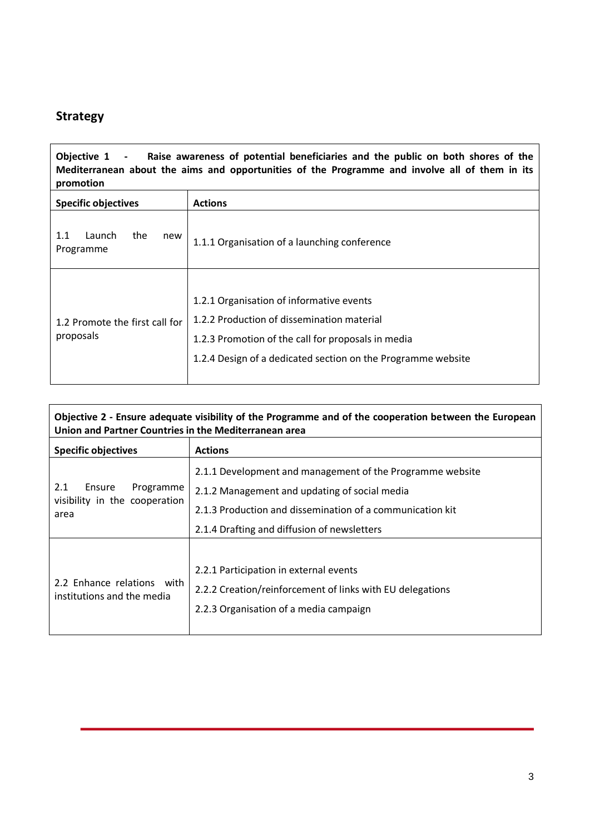## **Strategy**

**Objective 1 - Raise awareness of potential beneficiaries and the public on both shores of the Mediterranean about the aims and opportunities of the Programme and involve all of them in its promotion**

| <b>Specific objectives</b>                  | <b>Actions</b>                                                                                                                                                                                               |
|---------------------------------------------|--------------------------------------------------------------------------------------------------------------------------------------------------------------------------------------------------------------|
| 1.1<br>Launch<br>the<br>new<br>Programme    | 1.1.1 Organisation of a launching conference                                                                                                                                                                 |
| 1.2 Promote the first call for<br>proposals | 1.2.1 Organisation of informative events<br>1.2.2 Production of dissemination material<br>1.2.3 Promotion of the call for proposals in media<br>1.2.4 Design of a dedicated section on the Programme website |

**Objective 2 - Ensure adequate visibility of the Programme and of the cooperation between the European Union and Partner Countries in the Mediterranean area**

| <b>Specific objectives</b>                                          | <b>Actions</b>                                                                                                                                                                                                         |
|---------------------------------------------------------------------|------------------------------------------------------------------------------------------------------------------------------------------------------------------------------------------------------------------------|
| 2.1<br>Ensure<br>Programme<br>visibility in the cooperation<br>area | 2.1.1 Development and management of the Programme website<br>2.1.2 Management and updating of social media<br>2.1.3 Production and dissemination of a communication kit<br>2.1.4 Drafting and diffusion of newsletters |
| 2.2 Enhance relations with<br>institutions and the media            | 2.2.1 Participation in external events<br>2.2.2 Creation/reinforcement of links with EU delegations<br>2.2.3 Organisation of a media campaign                                                                          |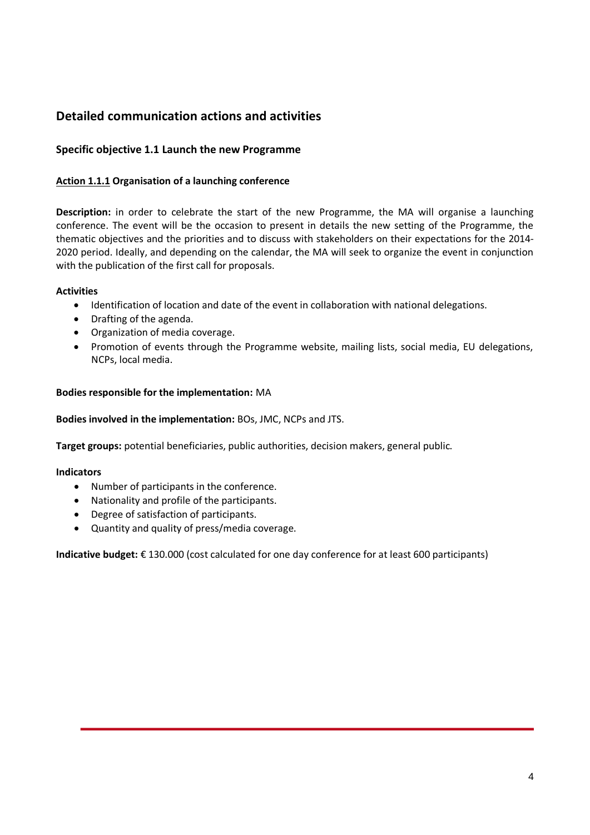## **Detailed communication actions and activities**

## **Specific objective 1.1 Launch the new Programme**

## **Action 1.1.1 Organisation of a launching conference**

**Description:** in order to celebrate the start of the new Programme, the MA will organise a launching conference. The event will be the occasion to present in details the new setting of the Programme, the thematic objectives and the priorities and to discuss with stakeholders on their expectations for the 2014- 2020 period. Ideally, and depending on the calendar, the MA will seek to organize the event in conjunction with the publication of the first call for proposals.

#### **Activities**

- Identification of location and date of the event in collaboration with national delegations.
- Drafting of the agenda.
- Organization of media coverage.
- Promotion of events through the Programme website, mailing lists, social media, EU delegations, NCPs, local media.

#### **Bodies responsible for the implementation:** MA

#### **Bodies involved in the implementation:** BOs, JMC, NCPs and JTS.

**Target groups:** potential beneficiaries, public authorities, decision makers, general public.

#### **Indicators**

- Number of participants in the conference.
- Nationality and profile of the participants.
- Degree of satisfaction of participants.
- Quantity and quality of press/media coverage.

**Indicative budget:** € 130.000 (cost calculated for one day conference for at least 600 participants)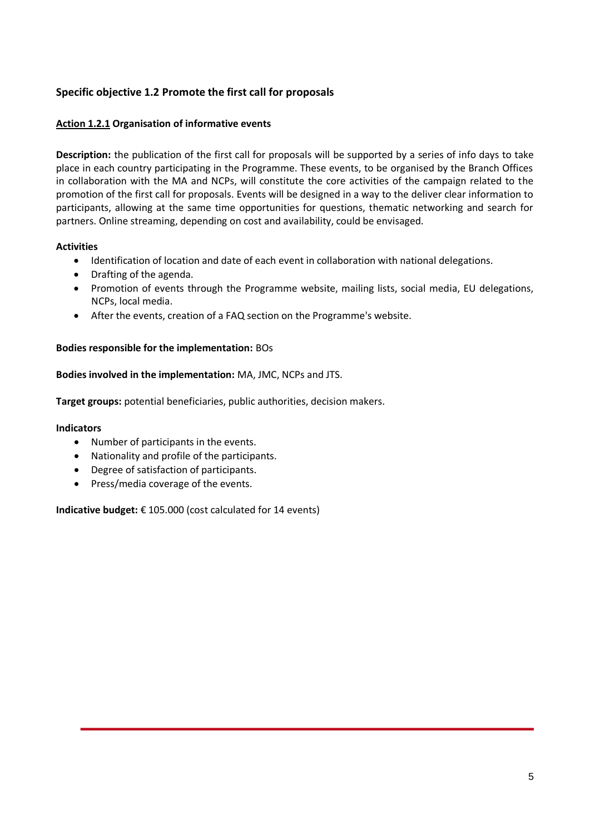## **Specific objective 1.2 Promote the first call for proposals**

## **Action 1.2.1 Organisation of informative events**

**Description:** the publication of the first call for proposals will be supported by a series of info days to take place in each country participating in the Programme. These events, to be organised by the Branch Offices in collaboration with the MA and NCPs, will constitute the core activities of the campaign related to the promotion of the first call for proposals. Events will be designed in a way to the deliver clear information to participants, allowing at the same time opportunities for questions, thematic networking and search for partners. Online streaming, depending on cost and availability, could be envisaged.

## **Activities**

- Identification of location and date of each event in collaboration with national delegations.
- Drafting of the agenda.
- Promotion of events through the Programme website, mailing lists, social media, EU delegations, NCPs, local media.
- After the events, creation of a FAQ section on the Programme's website.

## **Bodies responsible for the implementation:** BOs

## **Bodies involved in the implementation:** MA, JMC, NCPs and JTS.

**Target groups:** potential beneficiaries, public authorities, decision makers.

#### **Indicators**

- Number of participants in the events.
- Nationality and profile of the participants.
- Degree of satisfaction of participants.
- Press/media coverage of the events.

**Indicative budget:** € 105.000 (cost calculated for 14 events)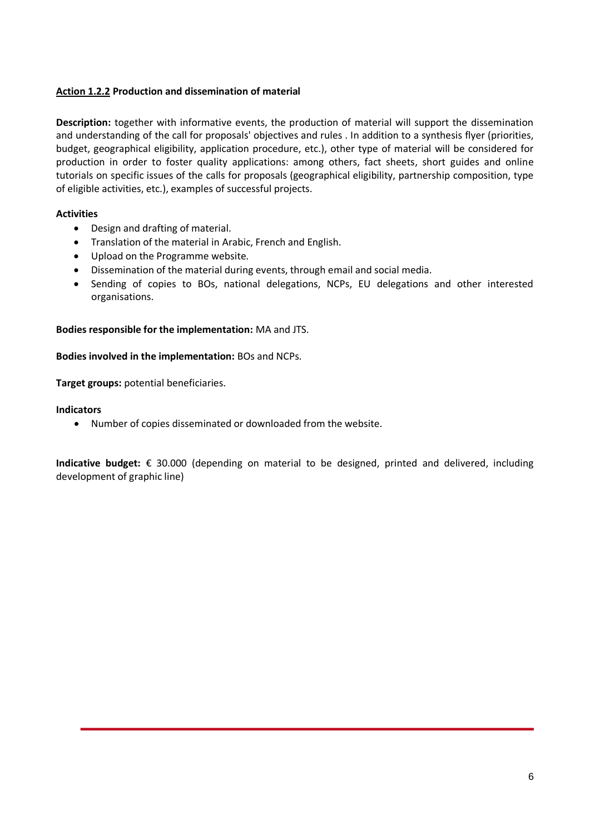## **Action 1.2.2 Production and dissemination of material**

**Description:** together with informative events, the production of material will support the dissemination and understanding of the call for proposals' objectives and rules . In addition to a synthesis flyer (priorities, budget, geographical eligibility, application procedure, etc.), other type of material will be considered for production in order to foster quality applications: among others, fact sheets, short guides and online tutorials on specific issues of the calls for proposals (geographical eligibility, partnership composition, type of eligible activities, etc.), examples of successful projects.

#### **Activities**

- Design and drafting of material.
- Translation of the material in Arabic, French and English.
- Upload on the Programme website.
- Dissemination of the material during events, through email and social media.
- Sending of copies to BOs, national delegations, NCPs, EU delegations and other interested organisations.

#### **Bodies responsible for the implementation:** MA and JTS.

#### **Bodies involved in the implementation:** BOs and NCPs.

**Target groups:** potential beneficiaries.

#### **Indicators**

Number of copies disseminated or downloaded from the website.

**Indicative budget:** € 30.000 (depending on material to be designed, printed and delivered, including development of graphic line)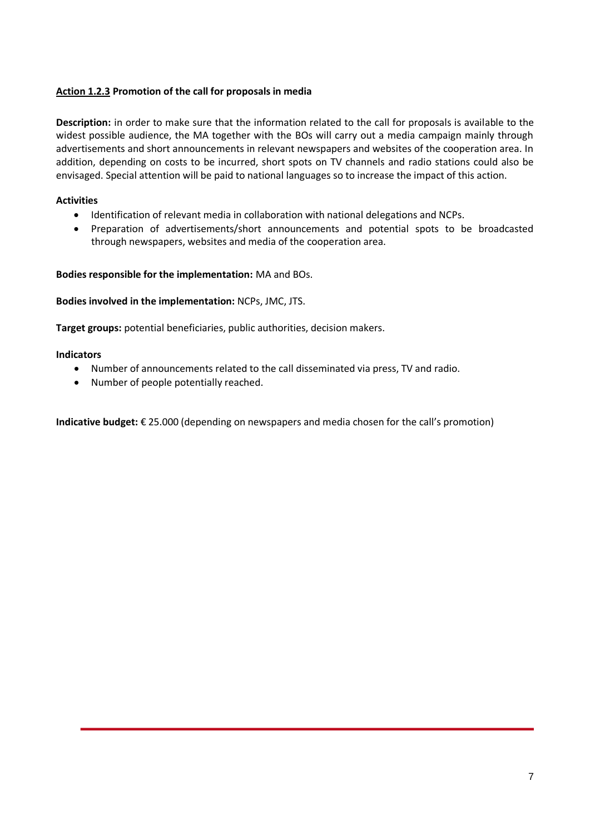## **Action 1.2.3 Promotion of the call for proposals in media**

**Description:** in order to make sure that the information related to the call for proposals is available to the widest possible audience, the MA together with the BOs will carry out a media campaign mainly through advertisements and short announcements in relevant newspapers and websites of the cooperation area. In addition, depending on costs to be incurred, short spots on TV channels and radio stations could also be envisaged. Special attention will be paid to national languages so to increase the impact of this action.

## **Activities**

- Identification of relevant media in collaboration with national delegations and NCPs.
- Preparation of advertisements/short announcements and potential spots to be broadcasted through newspapers, websites and media of the cooperation area.

#### **Bodies responsible for the implementation:** MA and BOs.

**Bodies involved in the implementation:** NCPs, JMC, JTS.

**Target groups:** potential beneficiaries, public authorities, decision makers.

#### **Indicators**

- Number of announcements related to the call disseminated via press, TV and radio.
- Number of people potentially reached.

**Indicative budget:** € 25.000 (depending on newspapers and media chosen for the call's promotion)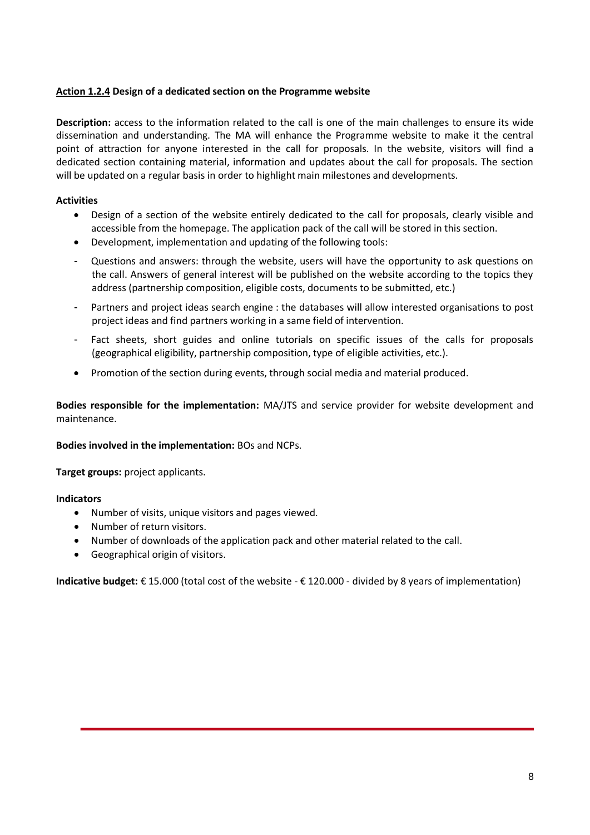## **Action 1.2.4 Design of a dedicated section on the Programme website**

**Description:** access to the information related to the call is one of the main challenges to ensure its wide dissemination and understanding. The MA will enhance the Programme website to make it the central point of attraction for anyone interested in the call for proposals. In the website, visitors will find a dedicated section containing material, information and updates about the call for proposals. The section will be updated on a regular basis in order to highlight main milestones and developments.

## **Activities**

- Design of a section of the website entirely dedicated to the call for proposals, clearly visible and accessible from the homepage. The application pack of the call will be stored in this section.
- Development, implementation and updating of the following tools:
- Questions and answers: through the website, users will have the opportunity to ask questions on the call. Answers of general interest will be published on the website according to the topics they address (partnership composition, eligible costs, documents to be submitted, etc.)
- Partners and project ideas search engine : the databases will allow interested organisations to post project ideas and find partners working in a same field of intervention.
- Fact sheets, short guides and online tutorials on specific issues of the calls for proposals (geographical eligibility, partnership composition, type of eligible activities, etc.).
- Promotion of the section during events, through social media and material produced.

**Bodies responsible for the implementation:** MA/JTS and service provider for website development and maintenance.

#### **Bodies involved in the implementation:** BOs and NCPs.

**Target groups:** project applicants.

#### **Indicators**

- Number of visits, unique visitors and pages viewed.
- Number of return visitors.
- Number of downloads of the application pack and other material related to the call.
- Geographical origin of visitors.

**Indicative budget:** € 15.000 (total cost of the website - € 120.000 - divided by 8 years of implementation)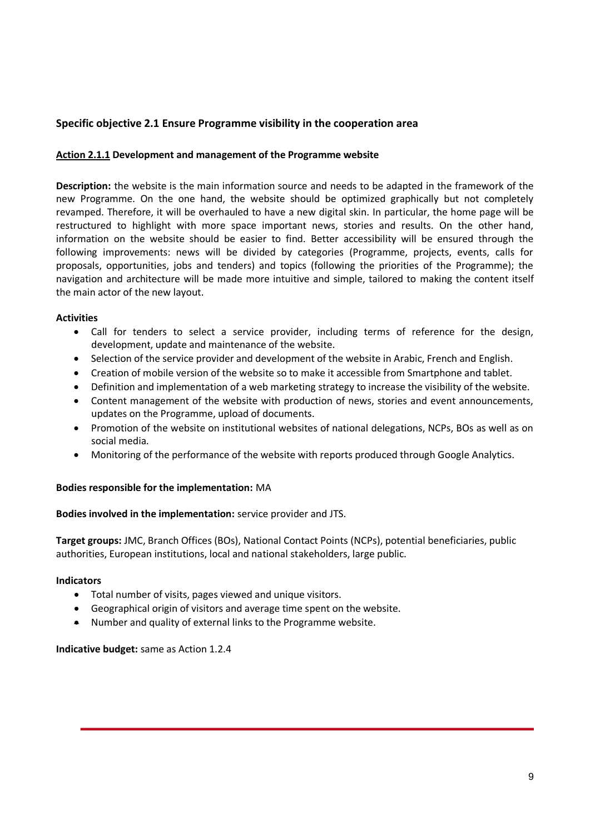## **Specific objective 2.1 Ensure Programme visibility in the cooperation area**

## **Action 2.1.1 Development and management of the Programme website**

**Description:** the website is the main information source and needs to be adapted in the framework of the new Programme. On the one hand, the website should be optimized graphically but not completely revamped. Therefore, it will be overhauled to have a new digital skin. In particular, the home page will be restructured to highlight with more space important news, stories and results. On the other hand, information on the website should be easier to find. Better accessibility will be ensured through the following improvements: news will be divided by categories (Programme, projects, events, calls for proposals, opportunities, jobs and tenders) and topics (following the priorities of the Programme); the navigation and architecture will be made more intuitive and simple, tailored to making the content itself the main actor of the new layout.

#### **Activities**

- Call for tenders to select a service provider, including terms of reference for the design, development, update and maintenance of the website.
- Selection of the service provider and development of the website in Arabic, French and English.
- Creation of mobile version of the website so to make it accessible from Smartphone and tablet.
- Definition and implementation of a web marketing strategy to increase the visibility of the website.
- Content management of the website with production of news, stories and event announcements, updates on the Programme, upload of documents.
- Promotion of the website on institutional websites of national delegations, NCPs, BOs as well as on social media.
- Monitoring of the performance of the website with reports produced through Google Analytics.

#### **Bodies responsible for the implementation:** MA

#### **Bodies involved in the implementation:** service provider and JTS.

**Target groups:** JMC, Branch Offices (BOs), National Contact Points (NCPs), potential beneficiaries, public authorities, European institutions, local and national stakeholders, large public.

#### **Indicators**

- Total number of visits, pages viewed and unique visitors.
- Geographical origin of visitors and average time spent on the website.
- Number and quality of external links to the Programme website.

**Indicative budget:** same as Action 1.2.4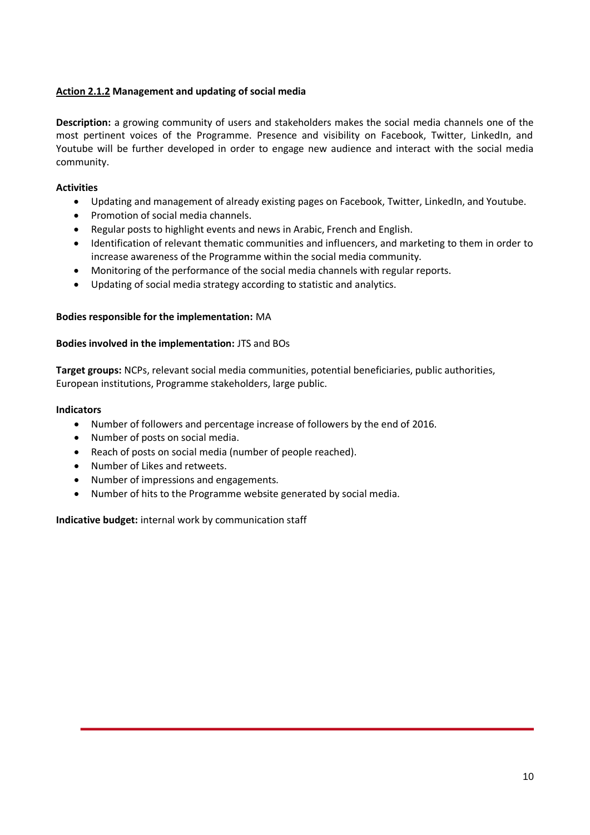## **Action 2.1.2 Management and updating of social media**

**Description:** a growing community of users and stakeholders makes the social media channels one of the most pertinent voices of the Programme. Presence and visibility on Facebook, Twitter, LinkedIn, and Youtube will be further developed in order to engage new audience and interact with the social media community.

## **Activities**

- Updating and management of already existing pages on Facebook, Twitter, LinkedIn, and Youtube.
- Promotion of social media channels.
- Regular posts to highlight events and news in Arabic, French and English.
- Identification of relevant thematic communities and influencers, and marketing to them in order to increase awareness of the Programme within the social media community.
- Monitoring of the performance of the social media channels with regular reports.
- Updating of social media strategy according to statistic and analytics.

#### **Bodies responsible for the implementation:** MA

#### **Bodies involved in the implementation:** JTS and BOs

**Target groups:** NCPs, relevant social media communities, potential beneficiaries, public authorities, European institutions, Programme stakeholders, large public.

#### **Indicators**

- Number of followers and percentage increase of followers by the end of 2016.
- Number of posts on social media.
- Reach of posts on social media (number of people reached).
- Number of Likes and retweets.
- Number of impressions and engagements.
- Number of hits to the Programme website generated by social media.

**Indicative budget:** internal work by communication staff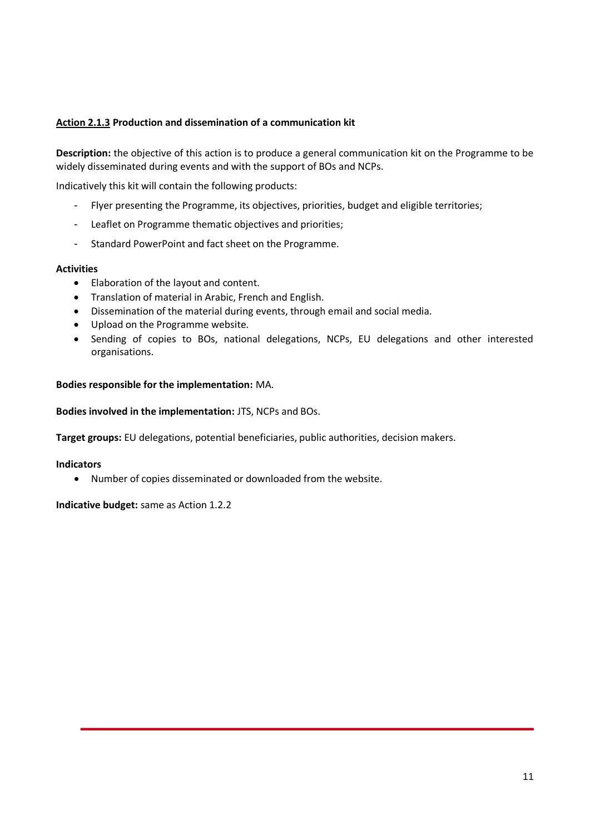## **Action 2.1.3 Production and dissemination of a communication kit**

**Description:** the objective of this action is to produce a general communication kit on the Programme to be widely disseminated during events and with the support of BOs and NCPs.

Indicatively this kit will contain the following products:

- Flyer presenting the Programme, its objectives, priorities, budget and eligible territories;
- Leaflet on Programme thematic objectives and priorities;
- Standard PowerPoint and fact sheet on the Programme.

#### **Activities**

- Elaboration of the layout and content.
- Translation of material in Arabic, French and English.
- Dissemination of the material during events, through email and social media.
- Upload on the Programme website.
- Sending of copies to BOs, national delegations, NCPs, EU delegations and other interested organisations.

#### **Bodies responsible for the implementation:** MA.

**Bodies involved in the implementation:** JTS, NCPs and BOs.

**Target groups:** EU delegations, potential beneficiaries, public authorities, decision makers.

#### **Indicators**

Number of copies disseminated or downloaded from the website.

**Indicative budget:** same as Action 1.2.2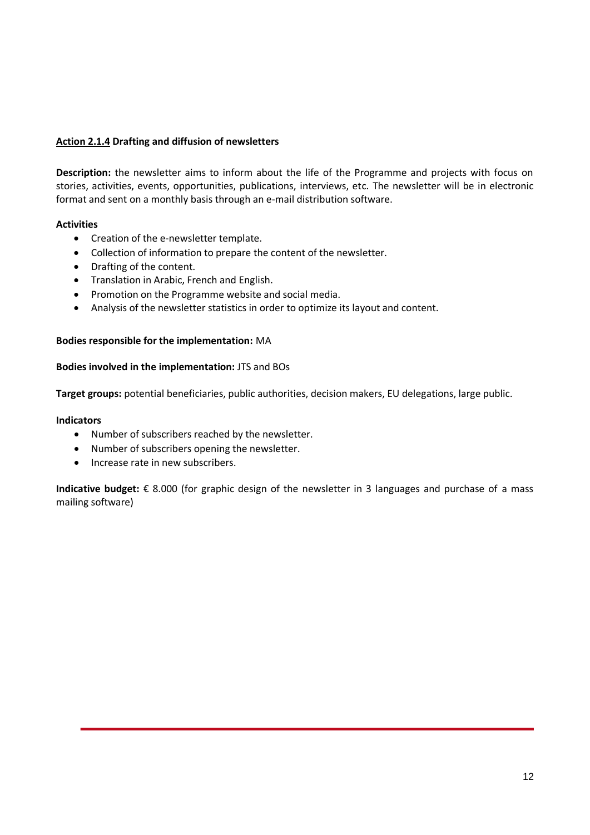## **Action 2.1.4 Drafting and diffusion of newsletters**

**Description:** the newsletter aims to inform about the life of the Programme and projects with focus on stories, activities, events, opportunities, publications, interviews, etc. The newsletter will be in electronic format and sent on a monthly basis through an e-mail distribution software.

#### **Activities**

- Creation of the e-newsletter template.
- Collection of information to prepare the content of the newsletter.
- Drafting of the content.
- Translation in Arabic, French and English.
- Promotion on the Programme website and social media.
- Analysis of the newsletter statistics in order to optimize its layout and content.

#### **Bodies responsible for the implementation:** MA

#### **Bodies involved in the implementation:** JTS and BOs

**Target groups:** potential beneficiaries, public authorities, decision makers, EU delegations, large public.

#### **Indicators**

- Number of subscribers reached by the newsletter.
- Number of subscribers opening the newsletter.
- Increase rate in new subscribers.

**Indicative budget:** € 8.000 (for graphic design of the newsletter in 3 languages and purchase of a mass mailing software)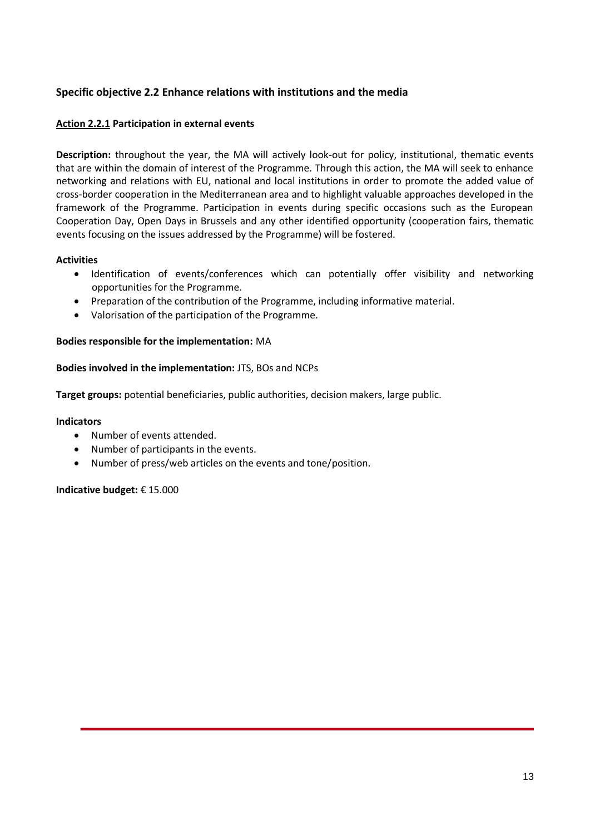## **Specific objective 2.2 Enhance relations with institutions and the media**

#### **Action 2.2.1 Participation in external events**

**Description:** throughout the year, the MA will actively look-out for policy, institutional, thematic events that are within the domain of interest of the Programme. Through this action, the MA will seek to enhance networking and relations with EU, national and local institutions in order to promote the added value of cross-border cooperation in the Mediterranean area and to highlight valuable approaches developed in the framework of the Programme. Participation in events during specific occasions such as the European Cooperation Day, Open Days in Brussels and any other identified opportunity (cooperation fairs, thematic events focusing on the issues addressed by the Programme) will be fostered.

#### **Activities**

- Identification of events/conferences which can potentially offer visibility and networking opportunities for the Programme.
- Preparation of the contribution of the Programme, including informative material.
- Valorisation of the participation of the Programme.

#### **Bodies responsible for the implementation:** MA

#### **Bodies involved in the implementation:** JTS, BOs and NCPs

**Target groups:** potential beneficiaries, public authorities, decision makers, large public.

#### **Indicators**

- Number of events attended.
- Number of participants in the events.
- Number of press/web articles on the events and tone/position.

#### **Indicative budget:** € 15.000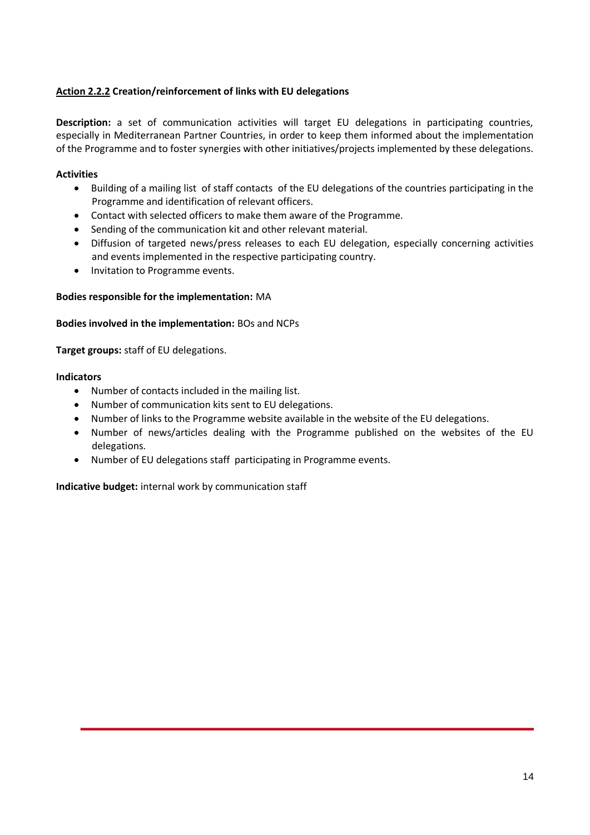## **Action 2.2.2 Creation/reinforcement of links with EU delegations**

**Description:** a set of communication activities will target EU delegations in participating countries, especially in Mediterranean Partner Countries, in order to keep them informed about the implementation of the Programme and to foster synergies with other initiatives/projects implemented by these delegations.

## **Activities**

- Building of a mailing list of staff contacts of the EU delegations of the countries participating in the Programme and identification of relevant officers.
- Contact with selected officers to make them aware of the Programme.
- Sending of the communication kit and other relevant material.
- Diffusion of targeted news/press releases to each EU delegation, especially concerning activities and events implemented in the respective participating country.
- Invitation to Programme events.

#### **Bodies responsible for the implementation:** MA

#### **Bodies involved in the implementation:** BOs and NCPs

**Target groups:** staff of EU delegations.

#### **Indicators**

- Number of contacts included in the mailing list.
- Number of communication kits sent to EU delegations.
- Number of links to the Programme website available in the website of the EU delegations.
- Number of news/articles dealing with the Programme published on the websites of the EU delegations.
- Number of EU delegations staff participating in Programme events.

**Indicative budget:** internal work by communication staff